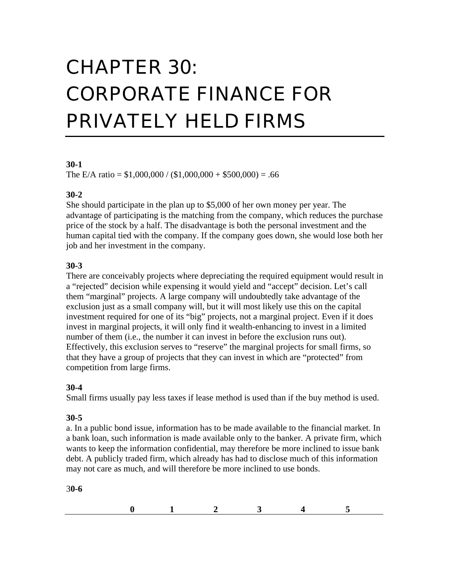# CHAPTER 30: CORPORATE FINANCE FOR PRIVATELY HELD FIRMS

#### **30-1**

The E/A ratio =  $$1,000,000 / ($1,000,000 + $500,000) = .66$ 

## **30-2**

She should participate in the plan up to \$5,000 of her own money per year. The advantage of participating is the matching from the company, which reduces the purchase price of the stock by a half. The disadvantage is both the personal investment and the human capital tied with the company. If the company goes down, she would lose both her job and her investment in the company.

## **30-3**

There are conceivably projects where depreciating the required equipment would result in a "rejected" decision while expensing it would yield and "accept" decision. Let's call them "marginal" projects. A large company will undoubtedly take advantage of the exclusion just as a small company will, but it will most likely use this on the capital investment required for one of its "big" projects, not a marginal project. Even if it does invest in marginal projects, it will only find it wealth-enhancing to invest in a limited number of them (i.e., the number it can invest in before the exclusion runs out). Effectively, this exclusion serves to "reserve" the marginal projects for small firms, so that they have a group of projects that they can invest in which are "protected" from competition from large firms.

## **30-4**

Small firms usually pay less taxes if lease method is used than if the buy method is used.

## **30-5**

a. In a public bond issue, information has to be made available to the financial market. In a bank loan, such information is made available only to the banker. A private firm, which wants to keep the information confidential, may therefore be more inclined to issue bank debt. A publicly traded firm, which already has had to disclose much of this information may not care as much, and will therefore be more inclined to use bonds.

3**0-6**

| $\sim$ |  |  |
|--------|--|--|
|        |  |  |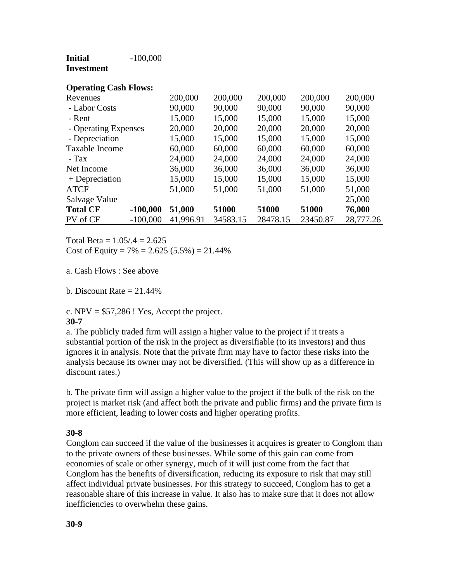| Initial    | $-100,000$ |
|------------|------------|
| Investment |            |

| <b>Operating Cash Flows:</b> |            |           |          |          |          |           |
|------------------------------|------------|-----------|----------|----------|----------|-----------|
| Revenues                     |            | 200,000   | 200,000  | 200,000  | 200,000  | 200,000   |
| - Labor Costs                |            | 90,000    | 90,000   | 90,000   | 90,000   | 90,000    |
| - Rent                       |            | 15,000    | 15,000   | 15,000   | 15,000   | 15,000    |
| - Operating Expenses         |            | 20,000    | 20,000   | 20,000   | 20,000   | 20,000    |
| - Depreciation               |            | 15,000    | 15,000   | 15,000   | 15,000   | 15,000    |
| Taxable Income               |            | 60,000    | 60,000   | 60,000   | 60,000   | 60,000    |
| $-Tax$                       |            | 24,000    | 24,000   | 24,000   | 24,000   | 24,000    |
| Net Income                   |            | 36,000    | 36,000   | 36,000   | 36,000   | 36,000    |
| + Depreciation               |            | 15,000    | 15,000   | 15,000   | 15,000   | 15,000    |
| <b>ATCF</b>                  |            | 51,000    | 51,000   | 51,000   | 51,000   | 51,000    |
| Salvage Value                |            |           |          |          |          | 25,000    |
| <b>Total CF</b>              | $-100,000$ | 51,000    | 51000    | 51000    | 51000    | 76,000    |
| PV of CF                     | $-100,000$ | 41,996.91 | 34583.15 | 28478.15 | 23450.87 | 28,777.26 |

Total Beta =  $1.05/0.4 = 2.625$ Cost of Equity =  $7\%$  = 2.625 (5.5%) = 21.44%

a. Cash Flows : See above

b. Discount Rate  $= 21.44\%$ 

c.  $NPV = $57,286$ ! Yes, Accept the project. **30-7**

a. The publicly traded firm will assign a higher value to the project if it treats a substantial portion of the risk in the project as diversifiable (to its investors) and thus ignores it in analysis. Note that the private firm may have to factor these risks into the analysis because its owner may not be diversified. (This will show up as a difference in discount rates.)

b. The private firm will assign a higher value to the project if the bulk of the risk on the project is market risk (and affect both the private and public firms) and the private firm is more efficient, leading to lower costs and higher operating profits.

## **30-8**

Conglom can succeed if the value of the businesses it acquires is greater to Conglom than to the private owners of these businesses. While some of this gain can come from economies of scale or other synergy, much of it will just come from the fact that Conglom has the benefits of diversification, reducing its exposure to risk that may still affect individual private businesses. For this strategy to succeed, Conglom has to get a reasonable share of this increase in value. It also has to make sure that it does not allow inefficiencies to overwhelm these gains.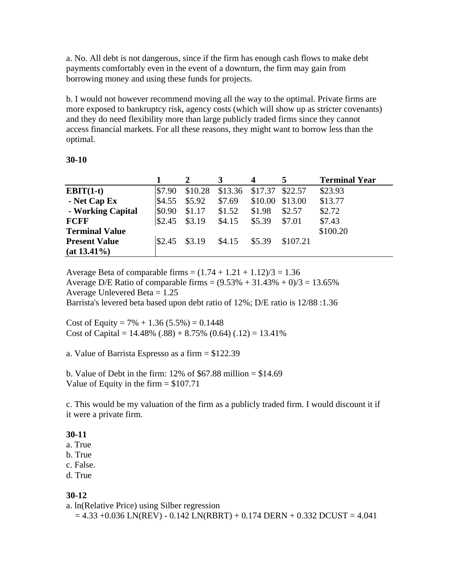a. No. All debt is not dangerous, since if the firm has enough cash flows to make debt payments comfortably even in the event of a downturn, the firm may gain from borrowing money and using these funds for projects.

b. I would not however recommend moving all the way to the optimal. Private firms are more exposed to bankruptcy risk, agency costs (which will show up as stricter covenants) and they do need flexibility more than large publicly traded firms since they cannot access financial markets. For all these reasons, they might want to borrow less than the optimal.

#### **30-10**

|                       |        |         | 3       | 4       | 5        | <b>Terminal Year</b> |
|-----------------------|--------|---------|---------|---------|----------|----------------------|
| $EBIT(1-t)$           | \$7.90 | \$10.28 | \$13.36 | \$17.37 | \$22.57  | \$23.93              |
| - Net Cap Ex          | \$4.55 | \$5.92  | \$7.69  | \$10.00 | \$13.00  | \$13.77              |
| - Working Capital     | \$0.90 | \$1.17  | \$1.52  | \$1.98  | \$2.57   | \$2.72               |
| <b>FCFF</b>           | \$2.45 | \$3.19  | \$4.15  | \$5.39  | \$7.01   | \$7.43               |
| <b>Terminal Value</b> |        |         |         |         |          | \$100.20             |
| <b>Present Value</b>  | \$2.45 | \$3.19  | \$4.15  | \$5.39  | \$107.21 |                      |
| $(at 13.41\%)$        |        |         |         |         |          |                      |

Average Beta of comparable firms =  $(1.74 + 1.21 + 1.12)/3 = 1.36$ Average D/E Ratio of comparable firms =  $(9.53\% + 31.43\% + 0)/3 = 13.65\%$ Average Unlevered Beta  $= 1.25$ Barrista's levered beta based upon debt ratio of 12%; D/E ratio is 12/88 :1.36

Cost of Equity =  $7\% + 1.36$  (5.5%) = 0.1448 Cost of Capital =  $14.48\%$  (.88) + 8.75% (0.64) (.12) = 13.41%

a. Value of Barrista Espresso as a firm = \$122.39

b. Value of Debt in the firm:  $12\%$  of \$67.88 million = \$14.69 Value of Equity in the firm  $= $107.71$ 

c. This would be my valuation of the firm as a publicly traded firm. I would discount it if it were a private firm.

#### **30-11**

- a. True
- b. True
- c. False.
- d. True

## **30-12**

a. ln(Relative Price) using Silber regression

 $= 4.33 + 0.036$  LN(REV) - 0.142 LN(RBRT) + 0.174 DERN + 0.332 DCUST = 4.041